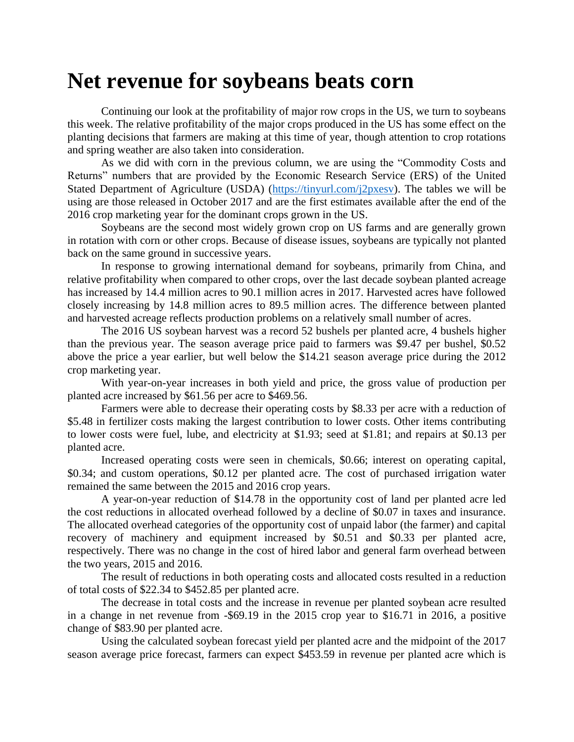## **Net revenue for soybeans beats corn**

Continuing our look at the profitability of major row crops in the US, we turn to soybeans this week. The relative profitability of the major crops produced in the US has some effect on the planting decisions that farmers are making at this time of year, though attention to crop rotations and spring weather are also taken into consideration.

As we did with corn in the previous column, we are using the "Commodity Costs and Returns" numbers that are provided by the Economic Research Service (ERS) of the United Stated Department of Agriculture (USDA) [\(https://tinyurl.com/j2pxesv\)](https://tinyurl.com/j2pxesv). The tables we will be using are those released in October 2017 and are the first estimates available after the end of the 2016 crop marketing year for the dominant crops grown in the US.

Soybeans are the second most widely grown crop on US farms and are generally grown in rotation with corn or other crops. Because of disease issues, soybeans are typically not planted back on the same ground in successive years.

In response to growing international demand for soybeans, primarily from China, and relative profitability when compared to other crops, over the last decade soybean planted acreage has increased by 14.4 million acres to 90.1 million acres in 2017. Harvested acres have followed closely increasing by 14.8 million acres to 89.5 million acres. The difference between planted and harvested acreage reflects production problems on a relatively small number of acres.

The 2016 US soybean harvest was a record 52 bushels per planted acre, 4 bushels higher than the previous year. The season average price paid to farmers was \$9.47 per bushel, \$0.52 above the price a year earlier, but well below the \$14.21 season average price during the 2012 crop marketing year.

With year-on-year increases in both yield and price, the gross value of production per planted acre increased by \$61.56 per acre to \$469.56.

Farmers were able to decrease their operating costs by \$8.33 per acre with a reduction of \$5.48 in fertilizer costs making the largest contribution to lower costs. Other items contributing to lower costs were fuel, lube, and electricity at \$1.93; seed at \$1.81; and repairs at \$0.13 per planted acre.

Increased operating costs were seen in chemicals, \$0.66; interest on operating capital, \$0.34; and custom operations, \$0.12 per planted acre. The cost of purchased irrigation water remained the same between the 2015 and 2016 crop years.

A year-on-year reduction of \$14.78 in the opportunity cost of land per planted acre led the cost reductions in allocated overhead followed by a decline of \$0.07 in taxes and insurance. The allocated overhead categories of the opportunity cost of unpaid labor (the farmer) and capital recovery of machinery and equipment increased by \$0.51 and \$0.33 per planted acre, respectively. There was no change in the cost of hired labor and general farm overhead between the two years, 2015 and 2016.

The result of reductions in both operating costs and allocated costs resulted in a reduction of total costs of \$22.34 to \$452.85 per planted acre.

The decrease in total costs and the increase in revenue per planted soybean acre resulted in a change in net revenue from -\$69.19 in the 2015 crop year to \$16.71 in 2016, a positive change of \$83.90 per planted acre.

Using the calculated soybean forecast yield per planted acre and the midpoint of the 2017 season average price forecast, farmers can expect \$453.59 in revenue per planted acre which is